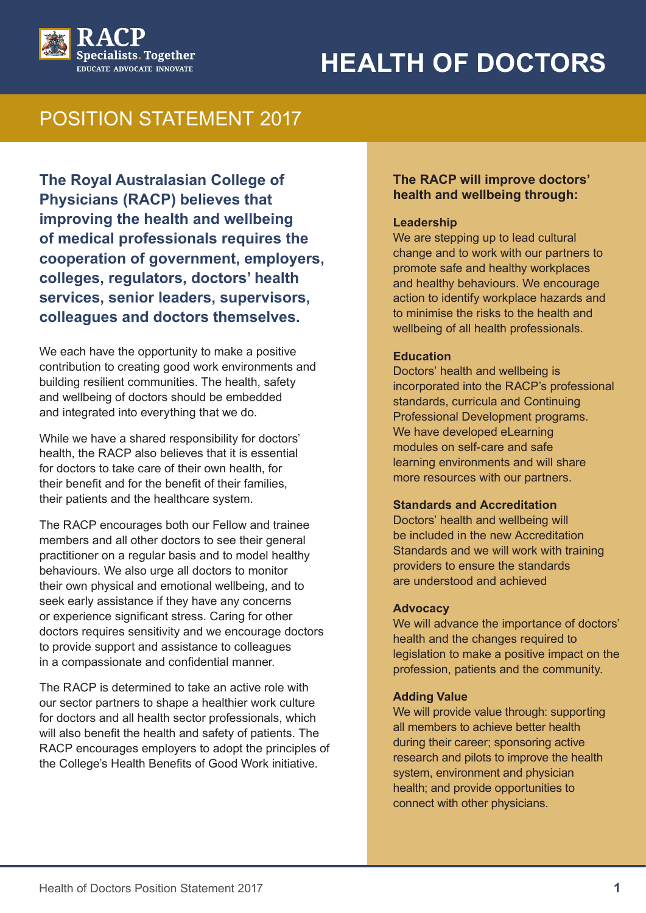# **HEALTH OF DOCTORS**



# POSITION STATEMENT 2017

**The Royal Australasian College of Physicians (RACP) believes that improving the health and wellbeing of medical professionals requires the cooperation of government, employers, colleges, regulators, doctors' health services, senior leaders, supervisors, colleagues and doctors themselves.**

We each have the opportunity to make a positive contribution to creating good work environments and building resilient communities. The health, safety and wellbeing of doctors should be embedded and integrated into everything that we do.

While we have a shared responsibility for doctors' health, the RACP also believes that it is essential for doctors to take care of their own health, for their benefit and for the benefit of their families, their patients and the healthcare system.

The RACP encourages both our Fellow and trainee members and all other doctors to see their general practitioner on a regular basis and to model healthy behaviours. We also urge all doctors to monitor their own physical and emotional wellbeing, and to seek early assistance if they have any concerns or experience significant stress. Caring for other doctors requires sensitivity and we encourage doctors to provide support and assistance to colleagues in a compassionate and confidential manner.

The RACP is determined to take an active role with our sector partners to shape a healthier work culture for doctors and all health sector professionals, which will also benefit the health and safety of patients. The RACP encourages employers to adopt the principles of the College's Health Benefits of Good Work initiative.

#### **The RACP will improve doctors' health and wellbeing through:**

#### **Leadership**

We are stepping up to lead cultural change and to work with our partners to promote safe and healthy workplaces and healthy behaviours. We encourage action to identify workplace hazards and to minimise the risks to the health and wellbeing of all health professionals.

#### **Education**

Doctors' health and wellbeing is incorporated into the RACP's professional standards, curricula and Continuing Professional Development programs. We have developed eLearning modules on self-care and safe learning environments and will share more resources with our partners.

#### **Standards and Accreditation**

Doctors' health and wellbeing will be included in the new Accreditation Standards and we will work with training providers to ensure the standards are understood and achieved

#### **Advocacy**

We will advance the importance of doctors' health and the changes required to legislation to make a positive impact on the profession, patients and the community.

#### **Adding Value**

We will provide value through: supporting all members to achieve better health during their career; sponsoring active research and pilots to improve the health system, environment and physician health; and provide opportunities to connect with other physicians.